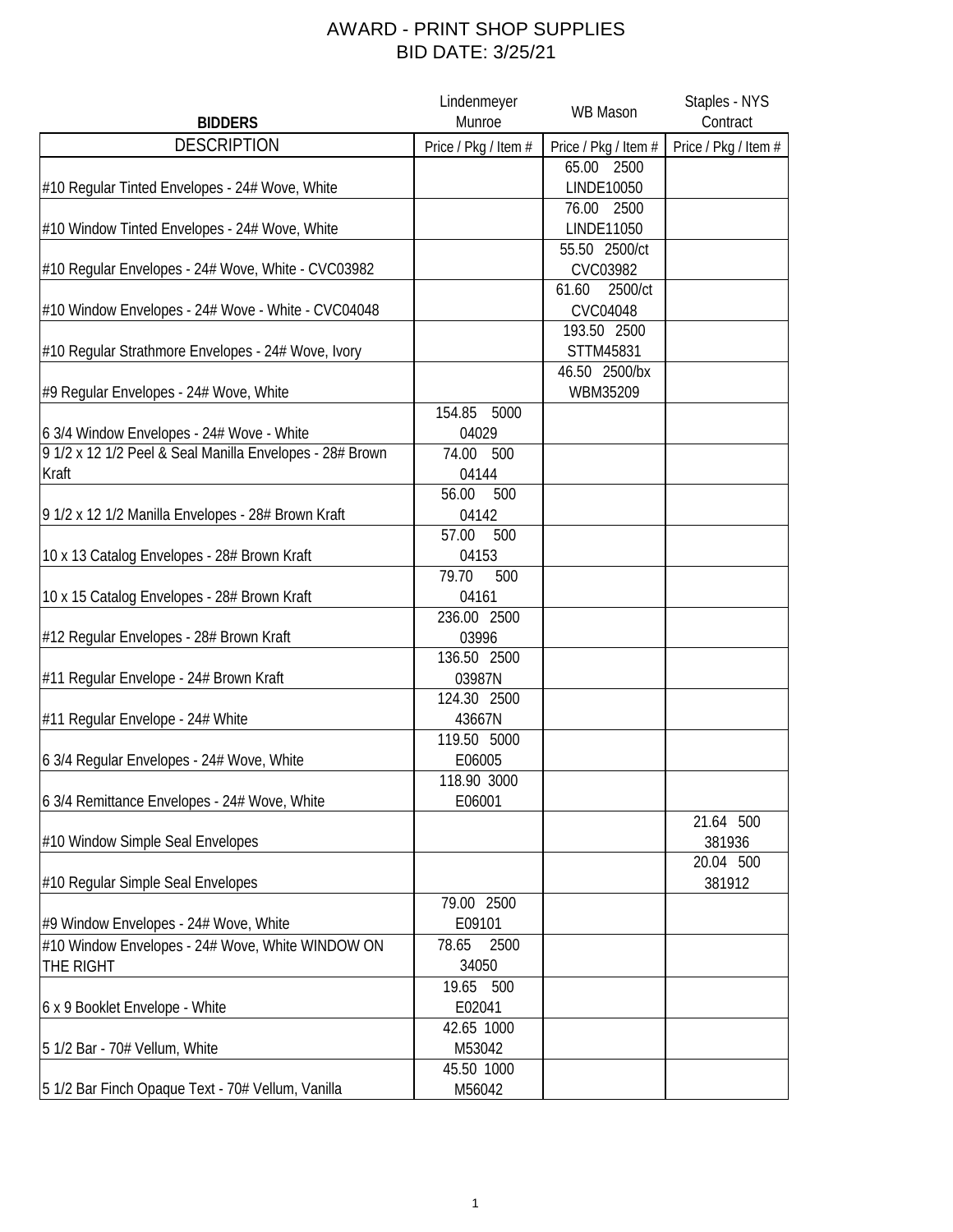## AWARD - PRINT SHOP SUPPLIES BID DATE: 3/25/21

|                                                          | Lindenmeyer          | WB Mason             | Staples - NYS        |
|----------------------------------------------------------|----------------------|----------------------|----------------------|
| <b>BIDDERS</b>                                           | Munroe               |                      | Contract             |
| <b>DESCRIPTION</b>                                       | Price / Pkg / Item # | Price / Pkg / Item # | Price / Pkg / Item # |
|                                                          |                      | 65.00 2500           |                      |
| #10 Regular Tinted Envelopes - 24# Wove, White           |                      | <b>LINDE10050</b>    |                      |
|                                                          |                      | 76.00 2500           |                      |
| #10 Window Tinted Envelopes - 24# Wove, White            |                      | <b>LINDE11050</b>    |                      |
|                                                          |                      | 55.50 2500/ct        |                      |
| #10 Regular Envelopes - 24# Wove, White - CVC03982       |                      | CVC03982             |                      |
|                                                          |                      | 2500/ct<br>61.60     |                      |
| #10 Window Envelopes - 24# Wove - White - CVC04048       |                      | CVC04048             |                      |
|                                                          |                      | 193.50 2500          |                      |
| #10 Regular Strathmore Envelopes - 24# Wove, Ivory       |                      | STTM45831            |                      |
|                                                          |                      | 46.50 2500/bx        |                      |
| #9 Regular Envelopes - 24# Wove, White                   |                      | WBM35209             |                      |
|                                                          | 154.85<br>5000       |                      |                      |
| 6 3/4 Window Envelopes - 24# Wove - White                | 04029                |                      |                      |
| 9 1/2 x 12 1/2 Peel & Seal Manilla Envelopes - 28# Brown | 74.00<br>500         |                      |                      |
| Kraft                                                    | 04144                |                      |                      |
|                                                          | 56.00<br>500         |                      |                      |
| 9 1/2 x 12 1/2 Manilla Envelopes - 28# Brown Kraft       | 04142                |                      |                      |
|                                                          | 57.00<br>500         |                      |                      |
| 10 x 13 Catalog Envelopes - 28# Brown Kraft              | 04153                |                      |                      |
|                                                          | 79.70<br>500         |                      |                      |
| 10 x 15 Catalog Envelopes - 28# Brown Kraft              | 04161                |                      |                      |
|                                                          | 236.00 2500          |                      |                      |
| #12 Regular Envelopes - 28# Brown Kraft                  | 03996                |                      |                      |
|                                                          | 136.50 2500          |                      |                      |
| #11 Regular Envelope - 24# Brown Kraft                   | 03987N               |                      |                      |
|                                                          | 124.30 2500          |                      |                      |
| #11 Regular Envelope - 24# White                         | 43667N               |                      |                      |
|                                                          | 119.50 5000          |                      |                      |
| 6 3/4 Regular Envelopes - 24# Wove, White                | E06005               |                      |                      |
|                                                          | 118.90 3000          |                      |                      |
| 6 3/4 Remittance Envelopes - 24# Wove, White             | E06001               |                      |                      |
|                                                          |                      |                      | 21.64 500            |
| #10 Window Simple Seal Envelopes                         |                      |                      | 381936               |
|                                                          |                      |                      | 20.04 500            |
| #10 Regular Simple Seal Envelopes                        |                      |                      | 381912               |
|                                                          | 79.00 2500           |                      |                      |
| #9 Window Envelopes - 24# Wove, White                    | E09101               |                      |                      |
| #10 Window Envelopes - 24# Wove, White WINDOW ON         | 78.65<br>2500        |                      |                      |
| THE RIGHT                                                | 34050                |                      |                      |
|                                                          | 19.65 500            |                      |                      |
| 6 x 9 Booklet Envelope - White                           | E02041               |                      |                      |
|                                                          | 42.65 1000           |                      |                      |
| 5 1/2 Bar - 70# Vellum, White                            | M53042               |                      |                      |
|                                                          | 45.50 1000           |                      |                      |
| 5 1/2 Bar Finch Opaque Text - 70# Vellum, Vanilla        | M56042               |                      |                      |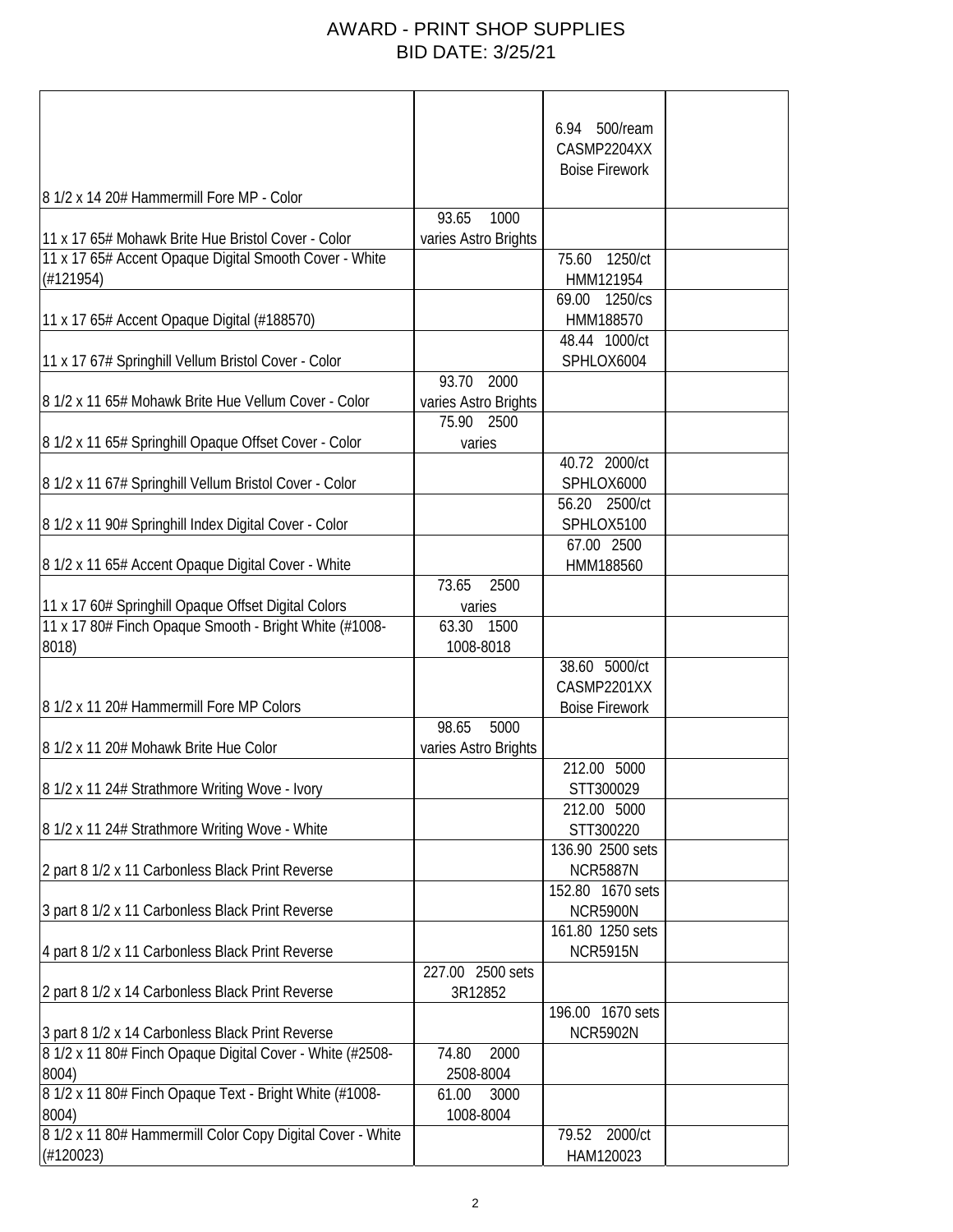## AWARD - PRINT SHOP SUPPLIES BID DATE: 3/25/21

|                                                            |                      | 6.94 500/ream         |  |
|------------------------------------------------------------|----------------------|-----------------------|--|
|                                                            |                      | CASMP2204XX           |  |
|                                                            |                      | <b>Boise Firework</b> |  |
|                                                            |                      |                       |  |
| 8 1/2 x 14 20# Hammermill Fore MP - Color                  | 93.65<br>1000        |                       |  |
| 11 x 17 65# Mohawk Brite Hue Bristol Cover - Color         |                      |                       |  |
| 11 x 17 65# Accent Opaque Digital Smooth Cover - White     | varies Astro Brights | 75.60<br>1250/ct      |  |
| (#121954)                                                  |                      | HMM121954             |  |
|                                                            |                      | 1250/cs<br>69.00      |  |
| 11 x 17 65# Accent Opaque Digital (#188570)                |                      | HMM188570             |  |
|                                                            |                      | 48.44 1000/ct         |  |
| 11 x 17 67# Springhill Vellum Bristol Cover - Color        |                      | SPHLOX6004            |  |
|                                                            | 93.70<br>2000        |                       |  |
| 8 1/2 x 11 65# Mohawk Brite Hue Vellum Cover - Color       | varies Astro Brights |                       |  |
|                                                            | 75.90<br>2500        |                       |  |
| 8 1/2 x 11 65# Springhill Opaque Offset Cover - Color      | varies               |                       |  |
|                                                            |                      | 40.72 2000/ct         |  |
| 8 1/2 x 11 67# Springhill Vellum Bristol Cover - Color     |                      | SPHLOX6000            |  |
|                                                            |                      | 56.20 2500/ct         |  |
| 8 1/2 x 11 90# Springhill Index Digital Cover - Color      |                      | SPHLOX5100            |  |
|                                                            |                      | 67.00 2500            |  |
| 8 1/2 x 11 65# Accent Opaque Digital Cover - White         |                      | HMM188560             |  |
|                                                            | 73.65<br>2500        |                       |  |
| 11 x 17 60# Springhill Opaque Offset Digital Colors        | varies               |                       |  |
| 11 x 17 80# Finch Opaque Smooth - Bright White (#1008-     | 63.30<br>1500        |                       |  |
| 8018)                                                      | 1008-8018            |                       |  |
|                                                            |                      | 38.60 5000/ct         |  |
|                                                            |                      | CASMP2201XX           |  |
| 8 1/2 x 11 20# Hammermill Fore MP Colors                   |                      | <b>Boise Firework</b> |  |
|                                                            | 98.65<br>5000        |                       |  |
| 8 1/2 x 11 20# Mohawk Brite Hue Color                      | varies Astro Brights |                       |  |
|                                                            |                      | 212.00 5000           |  |
| 8 1/2 x 11 24# Strathmore Writing Wove - Ivory             |                      | STT300029             |  |
|                                                            |                      | 212.00 5000           |  |
| 8 1/2 x 11 24# Strathmore Writing Wove - White             |                      | STT300220             |  |
|                                                            |                      | 136.90 2500 sets      |  |
| 2 part 8 1/2 x 11 Carbonless Black Print Reverse           |                      | <b>NCR5887N</b>       |  |
|                                                            |                      | 152.80 1670 sets      |  |
| 3 part 8 1/2 x 11 Carbonless Black Print Reverse           |                      | <b>NCR5900N</b>       |  |
|                                                            |                      | 161.80 1250 sets      |  |
| 4 part 8 1/2 x 11 Carbonless Black Print Reverse           |                      | <b>NCR5915N</b>       |  |
|                                                            | 227.00 2500 sets     |                       |  |
| 2 part 8 1/2 x 14 Carbonless Black Print Reverse           | 3R12852              |                       |  |
|                                                            |                      | 196.00 1670 sets      |  |
| 3 part 8 1/2 x 14 Carbonless Black Print Reverse           |                      | <b>NCR5902N</b>       |  |
| 8 1/2 x 11 80# Finch Opaque Digital Cover - White (#2508-  | 2000<br>74.80        |                       |  |
| 8004)                                                      | 2508-8004            |                       |  |
| 8 1/2 x 11 80# Finch Opaque Text - Bright White (#1008-    | 61.00<br>3000        |                       |  |
| 8004)                                                      | 1008-8004            |                       |  |
| 8 1/2 x 11 80# Hammermill Color Copy Digital Cover - White |                      | 2000/ct<br>79.52      |  |
| (H120023)                                                  |                      | HAM120023             |  |